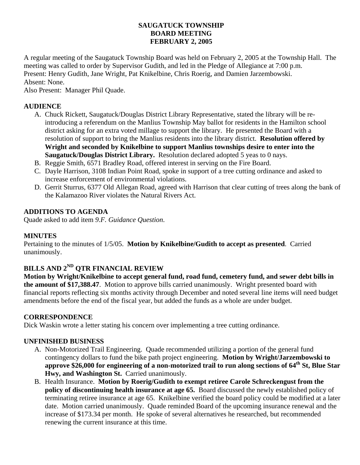# **SAUGATUCK TOWNSHIP BOARD MEETING FEBRUARY 2, 2005**

A regular meeting of the Saugatuck Township Board was held on February 2, 2005 at the Township Hall. The meeting was called to order by Supervisor Gudith, and led in the Pledge of Allegiance at 7:00 p.m. Present: Henry Gudith, Jane Wright, Pat Knikelbine, Chris Roerig, and Damien Jarzembowski. Absent: None.

Also Present: Manager Phil Quade.

# **AUDIENCE**

- A. Chuck Rickett, Saugatuck/Douglas District Library Representative, stated the library will be reintroducing a referendum on the Manlius Township May ballot for residents in the Hamilton school district asking for an extra voted millage to support the library. He presented the Board with a resolution of support to bring the Manlius residents into the library district. **Resolution offered by Wright and seconded by Knikelbine to support Manlius townships desire to enter into the Saugatuck/Douglas District Library.** Resolution declared adopted 5 yeas to 0 nays.
- B. Reggie Smith, 6571 Bradley Road, offered interest in serving on the Fire Board.
- C. Dayle Harrison, 3108 Indian Point Road, spoke in support of a tree cutting ordinance and asked to increase enforcement of environmental violations.
- D. Gerrit Sturrus, 6377 Old Allegan Road, agreed with Harrison that clear cutting of trees along the bank of the Kalamazoo River violates the Natural Rivers Act.

# **ADDITIONS TO AGENDA**

Quade asked to add item *9.F. Guidance Question*.

### **MINUTES**

Pertaining to the minutes of 1/5/05. **Motion by Knikelbine/Gudith to accept as presented**. Carried unanimously.

# **BILLS AND 2ND QTR FINANCIAL REVIEW**

**Motion by Wright/Knikelbine to accept general fund, road fund, cemetery fund, and sewer debt bills in the amount of \$17,388.47**. Motion to approve bills carried unanimously. Wright presented board with financial reports reflecting six months activity through December and noted several line items will need budget amendments before the end of the fiscal year, but added the funds as a whole are under budget.

### **CORRESPONDENCE**

Dick Waskin wrote a letter stating his concern over implementing a tree cutting ordinance.

### **UNFINISHED BUSINESS**

- A. Non-Motorized Trail Engineering. Quade recommended utilizing a portion of the general fund contingency dollars to fund the bike path project engineering. **Motion by Wright/Jarzembowski to approve \$26,000 for engineering of a non-motorized trail to run along sections of 64th St, Blue Star Hwy, and Washington St.** Carried unanimously.
- B. Health Insurance. **Motion by Roerig/Gudith to exempt retiree Carole Schreckengust from the policy of discontinuing health insurance at age 65.** Board discussed the newly established policy of terminating retiree insurance at age 65. Knikelbine verified the board policy could be modified at a later date. Motion carried unanimously. Quade reminded Board of the upcoming insurance renewal and the increase of \$173.34 per month. He spoke of several alternatives he researched, but recommended renewing the current insurance at this time.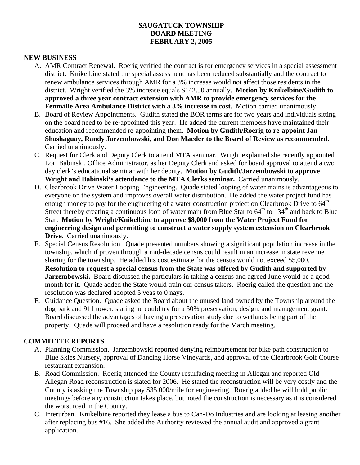## **SAUGATUCK TOWNSHIP BOARD MEETING FEBRUARY 2, 2005**

#### **NEW BUSINESS**

- A. AMR Contract Renewal. Roerig verified the contract is for emergency services in a special assessment district. Knikelbine stated the special assessment has been reduced substantially and the contract to renew ambulance services through AMR for a 3% increase would not affect those residents in the district. Wright verified the 3% increase equals \$142.50 annually. **Motion by Knikelbine/Gudith to approved a three year contract extension with AMR to provide emergency services for the Fennville Area Ambulance District with a 3% increase in cost.** Motion carried unanimously.
- B. Board of Review Appointments. Gudith stated the BOR terms are for two years and individuals sitting on the board need to be re-appointed this year. He added the current members have maintained their education and recommended re-appointing them. **Motion by Gudith/Roerig to re-appoint Jan Shashaguay, Randy Jarzembowski, and Don Maeder to the Board of Review as recommended.** Carried unanimously.
- C. Request for Clerk and Deputy Clerk to attend MTA seminar. Wright explained she recently appointed Lori Babinski, Office Administrator, as her Deputy Clerk and asked for board approval to attend a two day clerk's educational seminar with her deputy. **Motion by Gudith/Jarzembowski to approve Wright and Babinski's attendance to the MTA Clerks seminar.** Carried unanimously.
- D. Clearbrook Drive Water Looping Engineering. Quade stated looping of water mains is advantageous to everyone on the system and improves overall water distribution. He added the water project fund has enough money to pay for the engineering of a water construction project on Clearbrook Drive to 64<sup>th</sup> Street thereby creating a continuous loop of water main from Blue Star to  $64<sup>th</sup>$  to  $134<sup>th</sup>$  and back to Blue Star. **Motion by Wright/Knikelbine to approve \$8,000 from the Water Project Fund for engineering design and permitting to construct a water supply system extension on Clearbrook Drive.** Carried unanimously.
- E. Special Census Resolution. Quade presented numbers showing a significant population increase in the township, which if proven through a mid-decade census could result in an increase in state revenue sharing for the township. He added his cost estimate for the census would not exceed \$5,000. **Resolution to request a special census from the State was offered by Gudith and supported by Jarzembowski.** Board discussed the particulars in taking a census and agreed June would be a good month for it. Quade added the State would train our census takers. Roerig called the question and the resolution was declared adopted 5 yeas to 0 nays.
- F. Guidance Question. Quade asked the Board about the unused land owned by the Township around the dog park and 911 tower, stating he could try for a 50% preservation, design, and management grant. Board discussed the advantages of having a preservation study due to wetlands being part of the property. Quade will proceed and have a resolution ready for the March meeting.

#### **COMMITTEE REPORTS**

- A. Planning Commission. Jarzembowski reported denying reimbursement for bike path construction to Blue Skies Nursery, approval of Dancing Horse Vineyards, and approval of the Clearbrook Golf Course restaurant expansion.
- B. Road Commission. Roerig attended the County resurfacing meeting in Allegan and reported Old Allegan Road reconstruction is slated for 2006. He stated the reconstruction will be very costly and the County is asking the Township pay \$35,000/mile for engineering. Roerig added he will hold public meetings before any construction takes place, but noted the construction is necessary as it is considered the worst road in the County.
- C. Interurban. Knikelbine reported they lease a bus to Can-Do Industries and are looking at leasing another after replacing bus #16. She added the Authority reviewed the annual audit and approved a grant application.